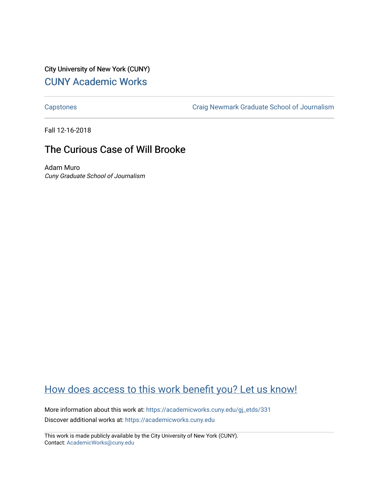City University of New York (CUNY) [CUNY Academic Works](https://academicworks.cuny.edu/) 

[Capstones](https://academicworks.cuny.edu/gj_etds) [Craig Newmark Graduate School of Journalism](https://academicworks.cuny.edu/gj) 

Fall 12-16-2018

## The Curious Case of Will Brooke

Adam Muro Cuny Graduate School of Journalism

# [How does access to this work benefit you? Let us know!](http://ols.cuny.edu/academicworks/?ref=https://academicworks.cuny.edu/gj_etds/331)

More information about this work at: [https://academicworks.cuny.edu/gj\\_etds/331](https://academicworks.cuny.edu/gj_etds/331)  Discover additional works at: [https://academicworks.cuny.edu](https://academicworks.cuny.edu/?)

This work is made publicly available by the City University of New York (CUNY). Contact: [AcademicWorks@cuny.edu](mailto:AcademicWorks@cuny.edu)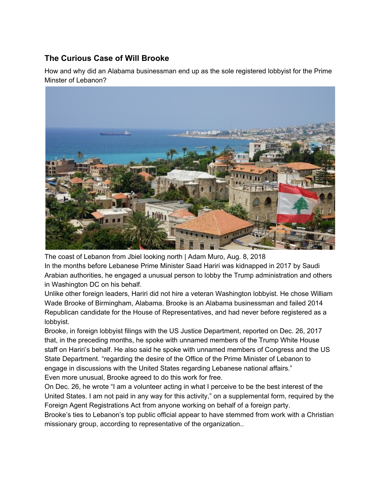### **The Curious Case of Will Brooke**

How and why did an Alabama businessman end up as the sole registered lobbyist for the Prime Minster of Lebanon?



The coast of Lebanon from Jbiel looking north | Adam Muro, Aug. 8, 2018 In the months before Lebanese Prime Minister Saad Hariri was kidnapped in 2017 by Saudi Arabian authorities, he engaged a unusual person to lobby the Trump administration and others in Washington DC on his behalf.

Unlike other foreign leaders, Hariri did not hire a veteran Washington lobbyist. He chose William Wade Brooke of Birmingham, Alabama. Brooke is an Alabama businessman and failed 2014 Republican candidate for the House of Representatives, and had never before registered as a lobbyist.

Brooke, in foreign lobbyist filings with the US Justice Department, reported on Dec. 26, 2017 that, in the preceding months, he spoke with unnamed members of the Trump White House staff on Hariri's behalf. He also said he spoke with unnamed members of Congress and the US State Department. "regarding the desire of the Office of the Prime Minister of Lebanon to engage in discussions with the United States regarding Lebanese national affairs." Even more unusual, Brooke agreed to do this work for free.

On Dec. 26, he wrote "I am a volunteer acting in what I perceive to be the best interest of the United States. I am not paid in any way for this activity," on a supplemental form, required by the Foreign Agent Registrations Act from anyone working on behalf of a foreign party.

Brooke's ties to Lebanon's top public official appear to have stemmed from work with a Christian missionary group, according to representative of the organization..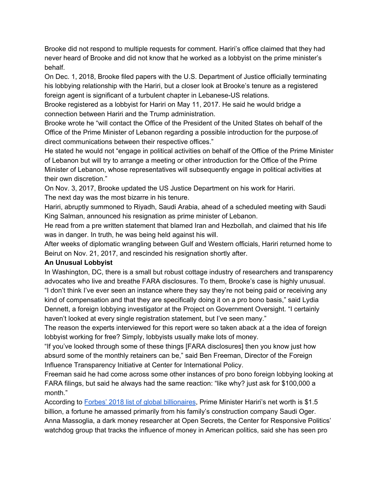Brooke did not respond to multiple requests for comment. Hariri's office claimed that they had never heard of Brooke and did not know that he worked as a lobbyist on the prime minister's behalf.

On Dec. 1, 2018, Brooke filed papers with the U.S. Department of Justice officially terminating his lobbying relationship with the Hariri, but a closer look at Brooke's tenure as a registered foreign agent is significant of a turbulent chapter in Lebanese-US relations.

Brooke registered as a lobbyist for Hariri on May 11, 2017. He said he would bridge a connection between Hariri and the Trump administration.

Brooke wrote he "will contact the Office of the President of the United States oh behalf of the Office of the Prime Minister of Lebanon regarding a possible introduction for the purpose.of direct communications between their respective offices."

He stated he would not "engage in political activities on behalf of the Office of the Prime Minister of Lebanon but will try to arrange a meeting or other introduction for the Office of the Prime Minister of Lebanon, whose representatives will subsequently engage in political activities at their own discretion."

On Nov. 3, 2017, Brooke updated the US Justice Department on his work for Hariri. The next day was the most bizarre in his tenure.

Hariri, abruptly summoned to Riyadh, Saudi Arabia, ahead of a scheduled meeting with Saudi King Salman, announced his resignation as prime minister of Lebanon.

He read from a pre written statement that blamed Iran and Hezbollah, and claimed that his life was in danger. In truth, he was being held against his will.

After weeks of diplomatic wrangling between Gulf and Western officials, Hariri returned home to Beirut on Nov. 21, 2017, and rescinded his resignation shortly after.

#### **An Unusual Lobbyist**

In Washington, DC, there is a small but robust cottage industry of researchers and transparency advocates who live and breathe FARA disclosures. To them, Brooke's case is highly unusual. "I don't think I've ever seen an instance where they say they're not being paid or receiving any kind of compensation and that they are specifically doing it on a pro bono basis," said Lydia Dennett, a foreign lobbying investigator at the Project on Government Oversight. "I certainly

haven't looked at every single registration statement, but I've seen many."

The reason the experts interviewed for this report were so taken aback at a the idea of foreign lobbyist working for free? Simply, lobbyists usually make lots of money.

"If you've looked through some of these things [FARA disclosures] then you know just how absurd some of the monthly retainers can be," said Ben Freeman, Director of the Foreign Influence Transparency Initiative at Center for International Policy.

Freeman said he had come across some other instances of pro bono foreign lobbying looking at FARA filings, but said he always had the same reaction: "like why? just ask for \$100,000 a month."

Acc[o](https://www.forbes.com/profile/saad-hariri/?list=billionaires#97eec2765b5d)rding to **Forbes' 2018 list of global [billionaires](https://www.forbes.com/profile/saad-hariri/?list=billionaires#97eec2765b5d)**, Prime Minister Hariri's net worth is \$1.5 billion, a fortune he amassed primarily from his family's construction company Saudi Oger. Anna Massoglia, a dark money researcher at Open Secrets, the Center for Responsive Politics' watchdog group that tracks the influence of money in American politics, said she has seen pro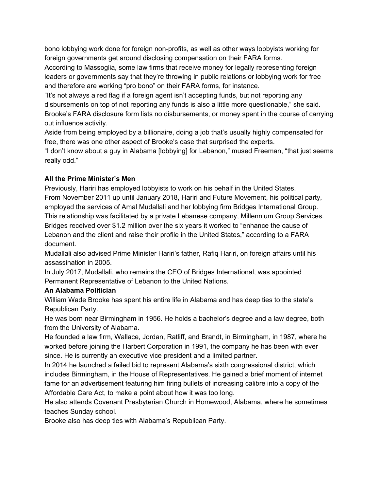bono lobbying work done for foreign non-profits, as well as other ways lobbyists working for foreign governments get around disclosing compensation on their FARA forms.

According to Massoglia, some law firms that receive money for legally representing foreign leaders or governments say that they're throwing in public relations or lobbying work for free and therefore are working "pro bono" on their FARA forms, for instance.

"It's not always a red flag if a foreign agent isn't accepting funds, but not reporting any disbursements on top of not reporting any funds is also a little more questionable," she said. Brooke's FARA disclosure form lists no disbursements, or money spent in the course of carrying out influence activity.

Aside from being employed by a billionaire, doing a job that's usually highly compensated for free, there was one other aspect of Brooke's case that surprised the experts.

"I don't know about a guy in Alabama [lobbying] for Lebanon," mused Freeman, "that just seems really odd."

#### **All the Prime Minister's Men**

Previously, Hariri has employed lobbyists to work on his behalf in the United States. From November 2011 up until January 2018, Hariri and Future Movement, his political party, employed the services of Amal Mudallali and her lobbying firm Bridges International Group. This relationship was facilitated by a private Lebanese company, Millennium Group Services. Bridges received over \$1.2 million over the six years it worked to "enhance the cause of Lebanon and the client and raise their profile in the United States," according to a FARA document.

Mudallali also advised Prime Minister Hariri's father, Rafiq Hariri, on foreign affairs until his assassination in 2005.

In July 2017, Mudallali, who remains the CEO of Bridges International, was appointed Permanent Representative of Lebanon to the United Nations.

#### **An Alabama Politician**

William Wade Brooke has spent his entire life in Alabama and has deep ties to the state's Republican Party.

He was born near Birmingham in 1956. He holds a bachelor's degree and a law degree, both from the University of Alabama.

He founded a law firm, Wallace, Jordan, Ratliff, and Brandt, in Birmingham, in 1987, where he worked before joining the Harbert Corporation in 1991, the company he has been with ever since. He is currently an executive vice president and a limited partner.

In 2014 he launched a failed bid to represent Alabama's sixth congressional district, which includes Birmingham, in the House of Representatives. He gained a brief moment of internet fame for an advertisement featuring him firing bullets of increasing calibre into a copy of the Affordable Care Act, to make a point about how it was too long.

He also attends Covenant Presbyterian Church in Homewood, Alabama, where he sometimes teaches Sunday school.

Brooke also has deep ties with Alabama's Republican Party.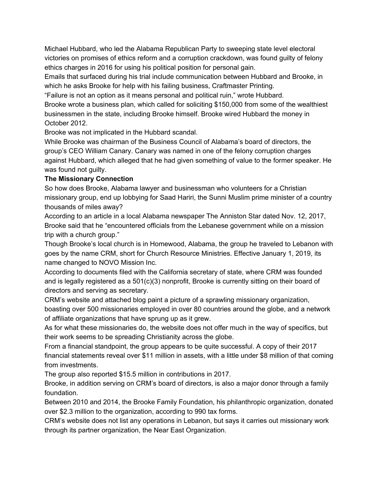Michael Hubbard, who led the Alabama Republican Party to sweeping state level electoral victories on promises of ethics reform and a corruption crackdown, was found guilty of felony ethics charges in 2016 for using his political position for personal gain.

Emails that surfaced during his trial include communication between Hubbard and Brooke, in which he asks Brooke for help with his failing business, Craftmaster Printing.

"Failure is not an option as it means personal and political ruin," wrote Hubbard.

Brooke wrote a business plan, which called for soliciting \$150,000 from some of the wealthiest businessmen in the state, including Brooke himself. Brooke wired Hubbard the money in October 2012.

Brooke was not implicated in the Hubbard scandal.

While Brooke was chairman of the Business Council of Alabama's board of directors, the group's CEO William Canary. Canary was named in one of the felony corruption charges against Hubbard, which alleged that he had given something of value to the former speaker. He was found not guilty.

#### **The Missionary Connection**

So how does Brooke, Alabama lawyer and businessman who volunteers for a Christian missionary group, end up lobbying for Saad Hariri, the Sunni Muslim prime minister of a country thousands of miles away?

According to an article in a local Alabama newspaper The Anniston Star dated Nov. 12, 2017, Brooke said that he "encountered officials from the Lebanese government while on a mission trip with a church group."

Though Brooke's local church is in Homewood, Alabama, the group he traveled to Lebanon with goes by the name CRM, short for Church Resource Ministries. Effective January 1, 2019, its name changed to NOVO Mission Inc.

According to documents filed with the California secretary of state, where CRM was founded and is legally registered as a 501(c)(3) nonprofit, Brooke is currently sitting on their board of directors and serving as secretary.

CRM's website and attached blog paint a picture of a sprawling missionary organization, boasting over 500 missionaries employed in over 80 countries around the globe, and a network of affiliate organizations that have sprung up as it grew.

As for what these missionaries do, the website does not offer much in the way of specifics, but their work seems to be spreading Christianity across the globe.

From a financial standpoint, the group appears to be quite successful. A copy of their 2017 financial statements reveal over \$11 million in assets, with a little under \$8 million of that coming from investments.

The group also reported \$15.5 million in contributions in 2017.

Brooke, in addition serving on CRM's board of directors, is also a major donor through a family foundation.

Between 2010 and 2014, the Brooke Family Foundation, his philanthropic organization, donated over \$2.3 million to the organization, according to 990 tax forms.

CRM's website does not list any operations in Lebanon, but says it carries out missionary work through its partner organization, the Near East Organization.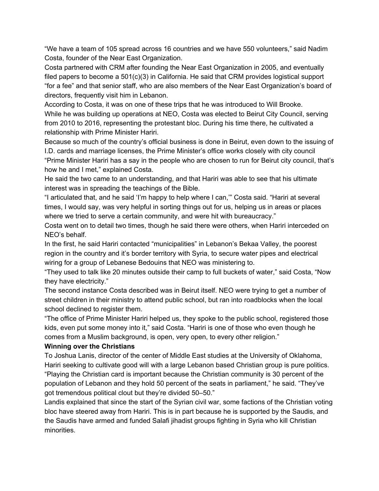"We have a team of 105 spread across 16 countries and we have 550 volunteers," said Nadim Costa, founder of the Near East Organization.

Costa partnered with CRM after founding the Near East Organization in 2005, and eventually filed papers to become a 501(c)(3) in California. He said that CRM provides logistical support "for a fee" and that senior staff, who are also members of the Near East Organization's board of directors, frequently visit him in Lebanon.

According to Costa, it was on one of these trips that he was introduced to Will Brooke. While he was building up operations at NEO, Costa was elected to Beirut City Council, serving from 2010 to 2016, representing the protestant bloc. During his time there, he cultivated a relationship with Prime Minister Hariri.

Because so much of the country's official business is done in Beirut, even down to the issuing of I.D. cards and marriage licenses, the Prime Minister's office works closely with city council "Prime Minister Hariri has a say in the people who are chosen to run for Beirut city council, that's how he and I met," explained Costa.

He said the two came to an understanding, and that Hariri was able to see that his ultimate interest was in spreading the teachings of the Bible.

"I articulated that, and he said 'I'm happy to help where I can,'" Costa said. "Hariri at several times, I would say, was very helpful in sorting things out for us, helping us in areas or places where we tried to serve a certain community, and were hit with bureaucracy."

Costa went on to detail two times, though he said there were others, when Hariri interceded on NEO's behalf.

In the first, he said Hariri contacted "municipalities" in Lebanon's Bekaa Valley, the poorest region in the country and it's border territory with Syria, to secure water pipes and electrical wiring for a group of Lebanese Bedouins that NEO was ministering to.

"They used to talk like 20 minutes outside their camp to full buckets of water," said Costa, "Now they have electricity."

The second instance Costa described was in Beirut itself. NEO were trying to get a number of street children in their ministry to attend public school, but ran into roadblocks when the local school declined to register them.

"The office of Prime Minister Hariri helped us, they spoke to the public school, registered those kids, even put some money into it," said Costa. "Hariri is one of those who even though he comes from a Muslim background, is open, very open, to every other religion."

#### **Winning over the Christians**

To Joshua Lanis, director of the center of Middle East studies at the University of Oklahoma, Hariri seeking to cultivate good will with a large Lebanon based Christian group is pure politics. "Playing the Christian card is important because the Christian community is 30 percent of the population of Lebanon and they hold 50 percent of the seats in parliament," he said. "They've got tremendous political clout but they're divided 50–50."

Landis explained that since the start of the Syrian civil war, some factions of the Christian voting bloc have steered away from Hariri. This is in part because he is supported by the Saudis, and the Saudis have armed and funded Salafi jihadist groups fighting in Syria who kill Christian minorities.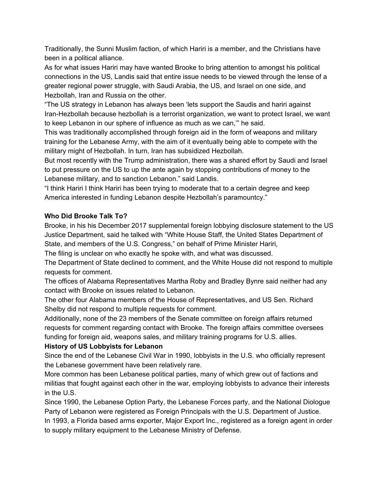Traditionally, the Sunni Muslim faction, of which Hariri is a member, and the Christians have been in a political alliance.

As for what issues Hariri may have wanted Brooke to bring attention to amongst his political connections in the US, Landis said that entire issue needs to be viewed through the lense of a greater regional power struggle, with Saudi Arabia, the US, and Israel on one side, and Hezbollah, Iran and Russia on the other.

"The US strategy in Lebanon has always been 'lets support the Saudis and hariri against Iran-Hezbollah because hezbollah is a terrorist organization, we want to protect Israel, we want to keep Lebanon in our sphere of influence as much as we can,'" he said.

This was traditionally accomplished through foreign aid in the form of weapons and military training for the Lebanese Army, with the aim of it eventually being able to compete with the military might of Hezbollah. In turn, Iran has subsidized Hezbollah.

But most recently with the Trump administration, there was a shared effort by Saudi and Israel to put pressure on the US to up the ante again by stopping contributions of money to the Lebanese military, and to sanction Lebanon." said Landis.

"I think Hariri I think Hariri has been trying to moderate that to a certain degree and keep America interested in funding Lebanon despite Hezbollah's paramountcy."

#### **Who Did Brooke Talk To?**

Brooke, in his his December 2017 supplemental foreign lobbying disclosure statement to the US Justice Department, said he talked with "White House Staff, the United States Department of State, and members of the U.S. Congress," on behalf of Prime Minister Hariri,

The filing is unclear on who exactly he spoke with, and what was discussed.

The Department of State declined to comment, and the White House did not respond to multiple requests for comment.

The offices of Alabama Representatives Martha Roby and Bradley Bynre said neither had any contact with Brooke on issues related to Lebanon.

The other four Alabama members of the House of Representatives, and US Sen. Richard Shelby did not respond to multiple requests for comment.

Additionally, none of the 23 members of the Senate committee on foreign affairs returned requests for comment regarding contact with Brooke. The foreign affairs committee oversees funding for foreign aid, weapons sales, and military training programs for U.S. allies.

#### **History of US Lobbyists for Lebanon**

Since the end of the Lebanese Civil War in 1990, lobbyists in the U.S. who officially represent the Lebanese government have been relatively rare.

More common has been Lebanese political parties, many of which grew out of factions and militias that fought against each other in the war, employing lobbyists to advance their interests in the U.S.

Since 1990, the Lebanese Option Party, the Lebanese Forces party, and the National Diologue Party of Lebanon were registered as Foreign Principals with the U.S. Department of Justice. In 1993, a Florida based arms exporter, Major Export Inc., registered as a foreign agent in order to supply military equipment to the Lebanese Ministry of Defense.